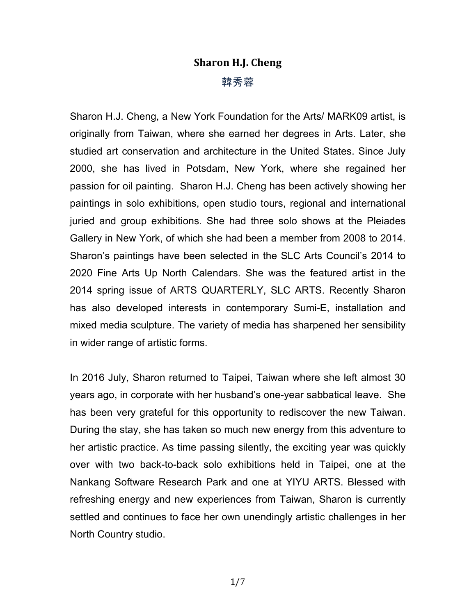## **Sharon H.J. Cheng** 韓秀蓉

Sharon H.J. Cheng, a New York Foundation for the Arts/ MARK09 artist, is originally from Taiwan, where she earned her degrees in Arts. Later, she studied art conservation and architecture in the United States. Since July 2000, she has lived in Potsdam, New York, where she regained her passion for oil painting. Sharon H.J. Cheng has been actively showing her paintings in solo exhibitions, open studio tours, regional and international juried and group exhibitions. She had three solo shows at the Pleiades Gallery in New York, of which she had been a member from 2008 to 2014. Sharon's paintings have been selected in the SLC Arts Council's 2014 to 2020 Fine Arts Up North Calendars. She was the featured artist in the 2014 spring issue of ARTS QUARTERLY, SLC ARTS. Recently Sharon has also developed interests in contemporary Sumi-E, installation and mixed media sculpture. The variety of media has sharpened her sensibility in wider range of artistic forms.

In 2016 July, Sharon returned to Taipei, Taiwan where she left almost 30 years ago, in corporate with her husband's one-year sabbatical leave. She has been very grateful for this opportunity to rediscover the new Taiwan. During the stay, she has taken so much new energy from this adventure to her artistic practice. As time passing silently, the exciting year was quickly over with two back-to-back solo exhibitions held in Taipei, one at the Nankang Software Research Park and one at YIYU ARTS. Blessed with refreshing energy and new experiences from Taiwan, Sharon is currently settled and continues to face her own unendingly artistic challenges in her North Country studio.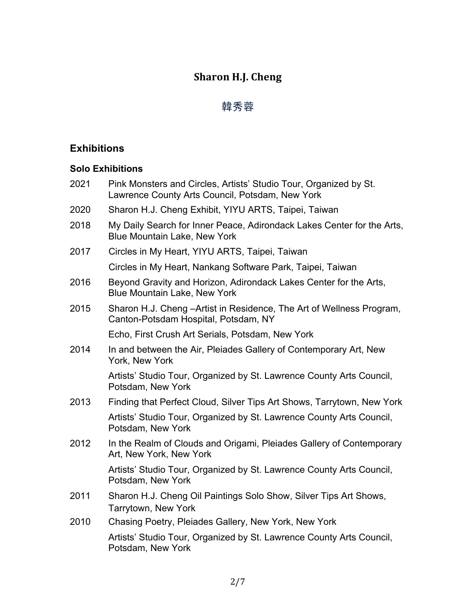# **Sharon H.J. Cheng**

# 韓秀蓉

### **Exhibitions**

### **Solo Exhibitions**

| 2021 | Pink Monsters and Circles, Artists' Studio Tour, Organized by St.<br>Lawrence County Arts Council, Potsdam, New York |
|------|----------------------------------------------------------------------------------------------------------------------|
| 2020 | Sharon H.J. Cheng Exhibit, YIYU ARTS, Taipei, Taiwan                                                                 |
| 2018 | My Daily Search for Inner Peace, Adirondack Lakes Center for the Arts,<br><b>Blue Mountain Lake, New York</b>        |
| 2017 | Circles in My Heart, YIYU ARTS, Taipei, Taiwan                                                                       |
|      | Circles in My Heart, Nankang Software Park, Taipei, Taiwan                                                           |
| 2016 | Beyond Gravity and Horizon, Adirondack Lakes Center for the Arts,<br><b>Blue Mountain Lake, New York</b>             |
| 2015 | Sharon H.J. Cheng - Artist in Residence, The Art of Wellness Program,<br>Canton-Potsdam Hospital, Potsdam, NY        |
|      | Echo, First Crush Art Serials, Potsdam, New York                                                                     |
| 2014 | In and between the Air, Pleiades Gallery of Contemporary Art, New<br>York, New York                                  |
|      | Artists' Studio Tour, Organized by St. Lawrence County Arts Council,<br>Potsdam, New York                            |
| 2013 | Finding that Perfect Cloud, Silver Tips Art Shows, Tarrytown, New York                                               |
|      | Artists' Studio Tour, Organized by St. Lawrence County Arts Council,<br>Potsdam, New York                            |
| 2012 | In the Realm of Clouds and Origami, Pleiades Gallery of Contemporary<br>Art, New York, New York                      |
|      | Artists' Studio Tour, Organized by St. Lawrence County Arts Council,<br>Potsdam, New York                            |
| 2011 | Sharon H.J. Cheng Oil Paintings Solo Show, Silver Tips Art Shows,<br>Tarrytown, New York                             |
| 2010 | Chasing Poetry, Pleiades Gallery, New York, New York                                                                 |
|      | Artists' Studio Tour, Organized by St. Lawrence County Arts Council,<br>Potsdam, New York                            |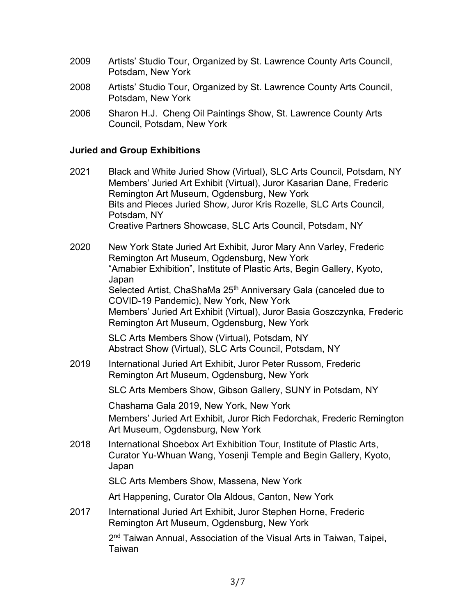- 2009 Artists' Studio Tour, Organized by St. Lawrence County Arts Council, Potsdam, New York
- 2008 Artists' Studio Tour, Organized by St. Lawrence County Arts Council, Potsdam, New York
- 2006 Sharon H.J. Cheng Oil Paintings Show, St. Lawrence County Arts Council, Potsdam, New York

#### **Juried and Group Exhibitions**

- 2021 Black and White Juried Show (Virtual), SLC Arts Council, Potsdam, NY Members' Juried Art Exhibit (Virtual), Juror Kasarian Dane, Frederic Remington Art Museum, Ogdensburg, New York Bits and Pieces Juried Show, Juror Kris Rozelle, SLC Arts Council, Potsdam, NY Creative Partners Showcase, SLC Arts Council, Potsdam, NY
- 2020 New York State Juried Art Exhibit, Juror Mary Ann Varley, Frederic Remington Art Museum, Ogdensburg, New York "Amabier Exhibition", Institute of Plastic Arts, Begin Gallery, Kyoto, Japan Selected Artist, ChaShaMa 25<sup>th</sup> Anniversary Gala (canceled due to COVID-19 Pandemic), New York, New York Members' Juried Art Exhibit (Virtual), Juror Basia Goszczynka, Frederic Remington Art Museum, Ogdensburg, New York

SLC Arts Members Show (Virtual), Potsdam, NY Abstract Show (Virtual), SLC Arts Council, Potsdam, NY

2019 International Juried Art Exhibit, Juror Peter Russom, Frederic Remington Art Museum, Ogdensburg, New York

SLC Arts Members Show, Gibson Gallery, SUNY in Potsdam, NY

Chashama Gala 2019, New York, New York Members' Juried Art Exhibit, Juror Rich Fedorchak, Frederic Remington Art Museum, Ogdensburg, New York

2018 International Shoebox Art Exhibition Tour, Institute of Plastic Arts, Curator Yu-Whuan Wang, Yosenji Temple and Begin Gallery, Kyoto, Japan

SLC Arts Members Show, Massena, New York

Art Happening, Curator Ola Aldous, Canton, New York

2017 International Juried Art Exhibit, Juror Stephen Horne, Frederic Remington Art Museum, Ogdensburg, New York

> 2<sup>nd</sup> Taiwan Annual, Association of the Visual Arts in Taiwan, Taipei, Taiwan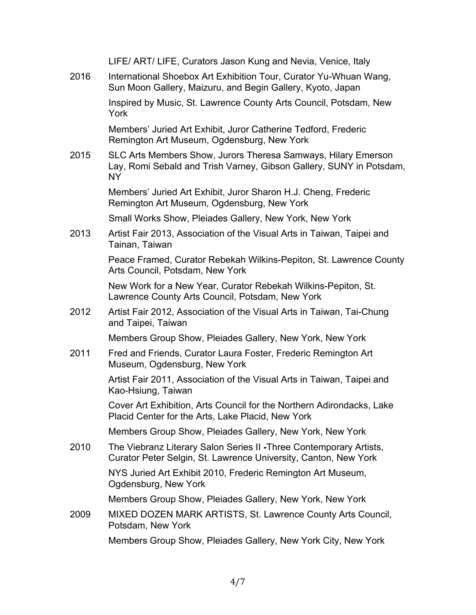|      | LIFE/ ART/ LIFE, Curators Jason Kung and Nevia, Venice, Italy                                                                                     |
|------|---------------------------------------------------------------------------------------------------------------------------------------------------|
| 2016 | International Shoebox Art Exhibition Tour, Curator Yu-Whuan Wang,<br>Sun Moon Gallery, Maizuru, and Begin Gallery, Kyoto, Japan                   |
|      | Inspired by Music, St. Lawrence County Arts Council, Potsdam, New<br>York                                                                         |
|      | Members' Juried Art Exhibit, Juror Catherine Tedford, Frederic<br>Remington Art Museum, Ogdensburg, New York                                      |
| 2015 | SLC Arts Members Show, Jurors Theresa Samways, Hilary Emerson<br>Lay, Romi Sebald and Trish Varney, Gibson Gallery, SUNY in Potsdam,<br><b>NY</b> |
|      | Members' Juried Art Exhibit, Juror Sharon H.J. Cheng, Frederic<br>Remington Art Museum, Ogdensburg, New York                                      |
|      | Small Works Show, Pleiades Gallery, New York, New York                                                                                            |
| 2013 | Artist Fair 2013, Association of the Visual Arts in Taiwan, Taipei and<br>Tainan, Taiwan                                                          |
|      | Peace Framed, Curator Rebekah Wilkins-Pepiton, St. Lawrence County<br>Arts Council, Potsdam, New York                                             |
|      | New Work for a New Year, Curator Rebekah Wilkins-Pepiton, St.<br>Lawrence County Arts Council, Potsdam, New York                                  |
| 2012 | Artist Fair 2012, Association of the Visual Arts in Taiwan, Tai-Chung<br>and Taipei, Taiwan                                                       |
|      | Members Group Show, Pleiades Gallery, New York, New York                                                                                          |
| 2011 | Fred and Friends, Curator Laura Foster, Frederic Remington Art<br>Museum, Ogdensburg, New York                                                    |
|      | Artist Fair 2011, Association of the Visual Arts in Taiwan, Taipei and<br>Kao-Hsiung, Taiwan                                                      |
|      | Cover Art Exhibition, Arts Council for the Northern Adirondacks, Lake<br>Placid Center for the Arts, Lake Placid, New York                        |
|      | Members Group Show, Pleiades Gallery, New York, New York                                                                                          |
| 2010 | The Viebranz Literary Salon Series II - Three Contemporary Artists,<br>Curator Peter Selgin, St. Lawrence University, Canton, New York            |
|      | NYS Juried Art Exhibit 2010, Frederic Remington Art Museum,<br>Ogdensburg, New York                                                               |
|      | Members Group Show, Pleiades Gallery, New York, New York                                                                                          |
| 2009 | MIXED DOZEN MARK ARTISTS, St. Lawrence County Arts Council,<br>Potsdam, New York                                                                  |
|      | Members Group Show, Pleiades Gallery, New York City, New York                                                                                     |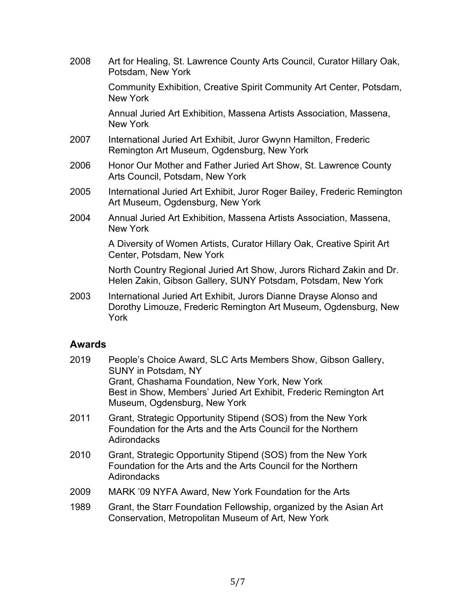| 2008 | Art for Healing, St. Lawrence County Arts Council, Curator Hillary Oak,<br>Potsdam, New York                                                 |
|------|----------------------------------------------------------------------------------------------------------------------------------------------|
|      | Community Exhibition, Creative Spirit Community Art Center, Potsdam,<br>New York                                                             |
|      | Annual Juried Art Exhibition, Massena Artists Association, Massena,<br>New York                                                              |
| 2007 | International Juried Art Exhibit, Juror Gwynn Hamilton, Frederic<br>Remington Art Museum, Ogdensburg, New York                               |
| 2006 | Honor Our Mother and Father Juried Art Show, St. Lawrence County<br>Arts Council, Potsdam, New York                                          |
| 2005 | International Juried Art Exhibit, Juror Roger Bailey, Frederic Remington<br>Art Museum, Ogdensburg, New York                                 |
| 2004 | Annual Juried Art Exhibition, Massena Artists Association, Massena,<br>New York                                                              |
|      | A Diversity of Women Artists, Curator Hillary Oak, Creative Spirit Art<br>Center, Potsdam, New York                                          |
|      | North Country Regional Juried Art Show, Jurors Richard Zakin and Dr.<br>Helen Zakin, Gibson Gallery, SUNY Potsdam, Potsdam, New York         |
| 2003 | International Juried Art Exhibit, Jurors Dianne Drayse Alonso and<br>Dorothy Limouze, Frederic Remington Art Museum, Ogdensburg, New<br>York |

### **Awards**

| 2019 | People's Choice Award, SLC Arts Members Show, Gibson Gallery,<br><b>SUNY in Potsdam, NY</b>                                                         |
|------|-----------------------------------------------------------------------------------------------------------------------------------------------------|
|      | Grant, Chashama Foundation, New York, New York<br>Best in Show, Members' Juried Art Exhibit, Frederic Remington Art<br>Museum, Ogdensburg, New York |
| 2011 | Grant, Strategic Opportunity Stipend (SOS) from the New York<br>Foundation for the Arts and the Arts Council for the Northern<br>Adirondacks        |
| 2010 | Grant, Strategic Opportunity Stipend (SOS) from the New York<br>Foundation for the Arts and the Arts Council for the Northern<br>Adirondacks        |
| 2009 | MARK '09 NYFA Award, New York Foundation for the Arts                                                                                               |
| 1989 | Grant, the Starr Foundation Fellowship, organized by the Asian Art                                                                                  |

Conservation, Metropolitan Museum of Art, New York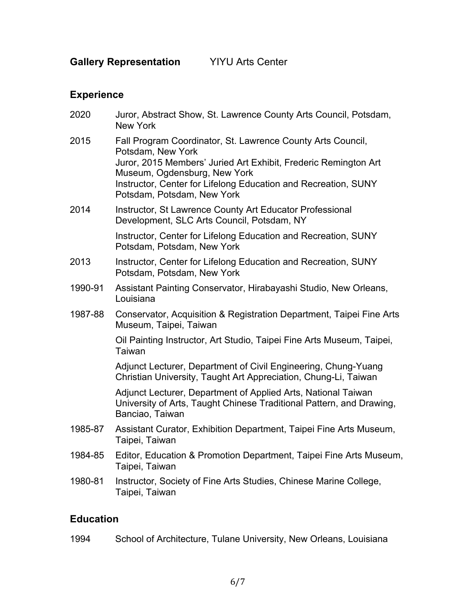**Gallery Representation** YIYU Arts Center

### **Experience**

| 2020    | Juror, Abstract Show, St. Lawrence County Arts Council, Potsdam,<br><b>New York</b>                                                                                                 |
|---------|-------------------------------------------------------------------------------------------------------------------------------------------------------------------------------------|
| 2015    | Fall Program Coordinator, St. Lawrence County Arts Council,<br>Potsdam, New York<br>Juror, 2015 Members' Juried Art Exhibit, Frederic Remington Art<br>Museum, Ogdensburg, New York |
|         | Instructor, Center for Lifelong Education and Recreation, SUNY<br>Potsdam, Potsdam, New York                                                                                        |
| 2014    | Instructor, St Lawrence County Art Educator Professional<br>Development, SLC Arts Council, Potsdam, NY                                                                              |
|         | Instructor, Center for Lifelong Education and Recreation, SUNY<br>Potsdam, Potsdam, New York                                                                                        |
| 2013    | Instructor, Center for Lifelong Education and Recreation, SUNY<br>Potsdam, Potsdam, New York                                                                                        |
| 1990-91 | Assistant Painting Conservator, Hirabayashi Studio, New Orleans,<br>Louisiana                                                                                                       |
| 1987-88 | Conservator, Acquisition & Registration Department, Taipei Fine Arts<br>Museum, Taipei, Taiwan                                                                                      |
|         | Oil Painting Instructor, Art Studio, Taipei Fine Arts Museum, Taipei,<br>Taiwan                                                                                                     |
|         | Adjunct Lecturer, Department of Civil Engineering, Chung-Yuang<br>Christian University, Taught Art Appreciation, Chung-Li, Taiwan                                                   |
|         | Adjunct Lecturer, Department of Applied Arts, National Taiwan<br>University of Arts, Taught Chinese Traditional Pattern, and Drawing,<br>Banciao, Taiwan                            |
| 1985-87 | Assistant Curator, Exhibition Department, Taipei Fine Arts Museum,<br>Taipei, Taiwan                                                                                                |
| 1984-85 | Editor, Education & Promotion Department, Taipei Fine Arts Museum,<br>Taipei, Taiwan                                                                                                |
| 1980-81 | Instructor, Society of Fine Arts Studies, Chinese Marine College,<br>Taipei, Taiwan                                                                                                 |

### **Education**

1994 School of Architecture, Tulane University, New Orleans, Louisiana